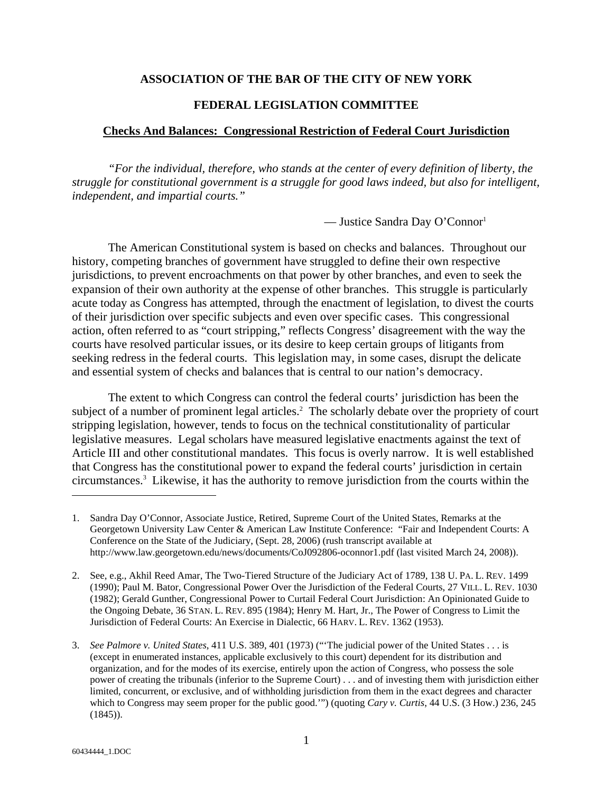## **ASSOCIATION OF THE BAR OF THE CITY OF NEW YORK**

### **FEDERAL LEGISLATION COMMITTEE**

#### **Checks And Balances: Congressional Restriction of Federal Court Jurisdiction**

*"For the individual, therefore, who stands at the center of every definition of liberty, the struggle for constitutional government is a struggle for good laws indeed, but also for intelligent, independent, and impartial courts."*

— Justice Sandra Day O'Connor1

The American Constitutional system is based on checks and balances. Throughout our history, competing branches of government have struggled to define their own respective jurisdictions, to prevent encroachments on that power by other branches, and even to seek the expansion of their own authority at the expense of other branches. This struggle is particularly acute today as Congress has attempted, through the enactment of legislation, to divest the courts of their jurisdiction over specific subjects and even over specific cases. This congressional action, often referred to as "court stripping," reflects Congress' disagreement with the way the courts have resolved particular issues, or its desire to keep certain groups of litigants from seeking redress in the federal courts. This legislation may, in some cases, disrupt the delicate and essential system of checks and balances that is central to our nation's democracy.

The extent to which Congress can control the federal courts' jurisdiction has been the subject of a number of prominent legal articles.<sup>2</sup> The scholarly debate over the propriety of court stripping legislation, however, tends to focus on the technical constitutionality of particular legislative measures. Legal scholars have measured legislative enactments against the text of Article III and other constitutional mandates. This focus is overly narrow. It is well established that Congress has the constitutional power to expand the federal courts' jurisdiction in certain circumstances.3 Likewise, it has the authority to remove jurisdiction from the courts within the

<sup>1.</sup> Sandra Day O'Connor, Associate Justice, Retired, Supreme Court of the United States, Remarks at the Georgetown University Law Center & American Law Institute Conference: "Fair and Independent Courts: A Conference on the State of the Judiciary, (Sept. 28, 2006) (rush transcript available at http://www.law.georgetown.edu/news/documents/CoJ092806-oconnor1.pdf (last visited March 24, 2008)).

<sup>2.</sup> See, e.g., Akhil Reed Amar, The Two-Tiered Structure of the Judiciary Act of 1789, 138 U. PA. L. REV. 1499 (1990); Paul M. Bator, Congressional Power Over the Jurisdiction of the Federal Courts, 27 VILL. L. REV. 1030 (1982); Gerald Gunther, Congressional Power to Curtail Federal Court Jurisdiction: An Opinionated Guide to the Ongoing Debate, 36 STAN. L. REV. 895 (1984); Henry M. Hart, Jr., The Power of Congress to Limit the Jurisdiction of Federal Courts: An Exercise in Dialectic, 66 HARV. L. REV. 1362 (1953).

<sup>3.</sup> *See Palmore v. United States*, 411 U.S. 389, 401 (1973) ("'The judicial power of the United States . . . is (except in enumerated instances, applicable exclusively to this court) dependent for its distribution and organization, and for the modes of its exercise, entirely upon the action of Congress, who possess the sole power of creating the tribunals (inferior to the Supreme Court) . . . and of investing them with jurisdiction either limited, concurrent, or exclusive, and of withholding jurisdiction from them in the exact degrees and character which to Congress may seem proper for the public good.'") (quoting *Cary v. Curtis*, 44 U.S. (3 How.) 236, 245  $(1845)$ .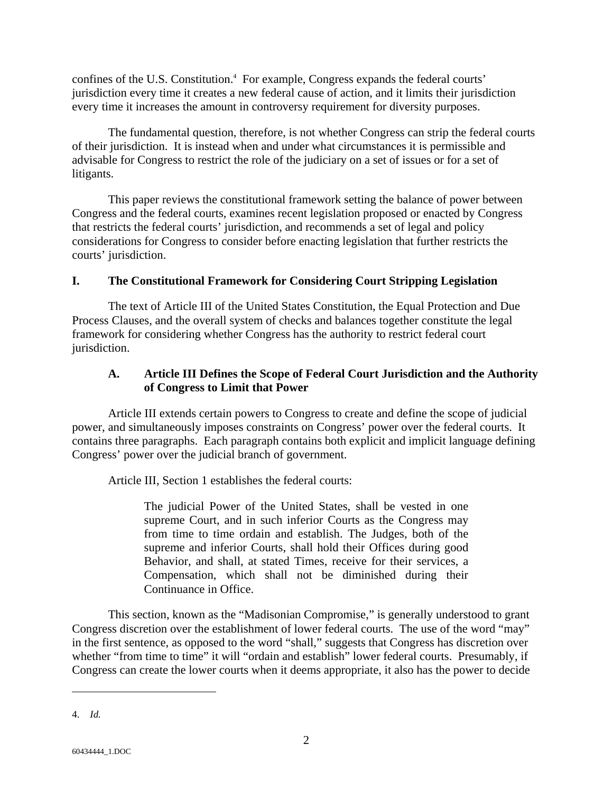confines of the U.S. Constitution.<sup>4</sup> For example, Congress expands the federal courts' jurisdiction every time it creates a new federal cause of action, and it limits their jurisdiction every time it increases the amount in controversy requirement for diversity purposes.

The fundamental question, therefore, is not whether Congress can strip the federal courts of their jurisdiction. It is instead when and under what circumstances it is permissible and advisable for Congress to restrict the role of the judiciary on a set of issues or for a set of litigants.

This paper reviews the constitutional framework setting the balance of power between Congress and the federal courts, examines recent legislation proposed or enacted by Congress that restricts the federal courts' jurisdiction, and recommends a set of legal and policy considerations for Congress to consider before enacting legislation that further restricts the courts' jurisdiction.

# **I. The Constitutional Framework for Considering Court Stripping Legislation**

The text of Article III of the United States Constitution, the Equal Protection and Due Process Clauses, and the overall system of checks and balances together constitute the legal framework for considering whether Congress has the authority to restrict federal court jurisdiction.

# **A. Article III Defines the Scope of Federal Court Jurisdiction and the Authority of Congress to Limit that Power**

Article III extends certain powers to Congress to create and define the scope of judicial power, and simultaneously imposes constraints on Congress' power over the federal courts. It contains three paragraphs. Each paragraph contains both explicit and implicit language defining Congress' power over the judicial branch of government.

Article III, Section 1 establishes the federal courts:

The judicial Power of the United States, shall be vested in one supreme Court, and in such inferior Courts as the Congress may from time to time ordain and establish. The Judges, both of the supreme and inferior Courts, shall hold their Offices during good Behavior, and shall, at stated Times, receive for their services, a Compensation, which shall not be diminished during their Continuance in Office.

This section, known as the "Madisonian Compromise," is generally understood to grant Congress discretion over the establishment of lower federal courts. The use of the word "may" in the first sentence, as opposed to the word "shall," suggests that Congress has discretion over whether "from time to time" it will "ordain and establish" lower federal courts. Presumably, if Congress can create the lower courts when it deems appropriate, it also has the power to decide

<sup>4.</sup> *Id.*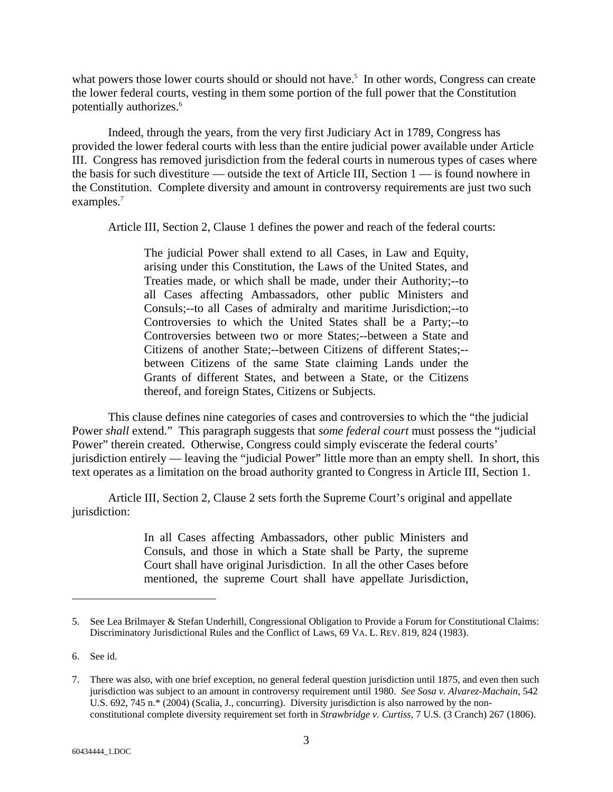what powers those lower courts should or should not have.<sup>5</sup> In other words, Congress can create the lower federal courts, vesting in them some portion of the full power that the Constitution potentially authorizes.<sup>6</sup>

Indeed, through the years, from the very first Judiciary Act in 1789, Congress has provided the lower federal courts with less than the entire judicial power available under Article III. Congress has removed jurisdiction from the federal courts in numerous types of cases where the basis for such divestiture — outside the text of Article III, Section 1 — is found nowhere in the Constitution. Complete diversity and amount in controversy requirements are just two such examples.<sup>7</sup>

Article III, Section 2, Clause 1 defines the power and reach of the federal courts:

The judicial Power shall extend to all Cases, in Law and Equity, arising under this Constitution, the Laws of the United States, and Treaties made, or which shall be made, under their Authority;--to all Cases affecting Ambassadors, other public Ministers and Consuls;--to all Cases of admiralty and maritime Jurisdiction;--to Controversies to which the United States shall be a Party;--to Controversies between two or more States;--between a State and Citizens of another State;--between Citizens of different States;- between Citizens of the same State claiming Lands under the Grants of different States, and between a State, or the Citizens thereof, and foreign States, Citizens or Subjects.

This clause defines nine categories of cases and controversies to which the "the judicial Power *shall* extend." This paragraph suggests that *some federal court* must possess the "judicial Power" therein created. Otherwise, Congress could simply eviscerate the federal courts' jurisdiction entirely — leaving the "judicial Power" little more than an empty shell. In short, this text operates as a limitation on the broad authority granted to Congress in Article III, Section 1.

Article III, Section 2, Clause 2 sets forth the Supreme Court's original and appellate jurisdiction:

> In all Cases affecting Ambassadors, other public Ministers and Consuls, and those in which a State shall be Party, the supreme Court shall have original Jurisdiction. In all the other Cases before mentioned, the supreme Court shall have appellate Jurisdiction,

<sup>5.</sup> See Lea Brilmayer & Stefan Underhill, Congressional Obligation to Provide a Forum for Constitutional Claims: Discriminatory Jurisdictional Rules and the Conflict of Laws, 69 VA. L. REV. 819, 824 (1983).

<sup>6.</sup> See id.

<sup>7.</sup> There was also, with one brief exception, no general federal question jurisdiction until 1875, and even then such jurisdiction was subject to an amount in controversy requirement until 1980. *See Sosa v. Alvarez-Machain*, 542 U.S. 692, 745 n.\* (2004) (Scalia, J., concurring). Diversity jurisdiction is also narrowed by the nonconstitutional complete diversity requirement set forth in *Strawbridge v. Curtiss*, 7 U.S. (3 Cranch) 267 (1806).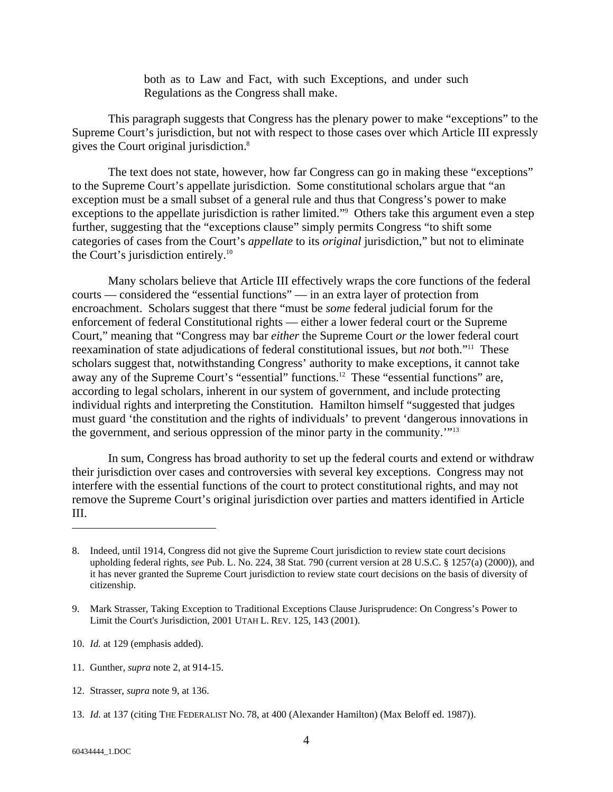both as to Law and Fact, with such Exceptions, and under such Regulations as the Congress shall make.

This paragraph suggests that Congress has the plenary power to make "exceptions" to the Supreme Court's jurisdiction, but not with respect to those cases over which Article III expressly gives the Court original jurisdiction.<sup>8</sup>

The text does not state, however, how far Congress can go in making these "exceptions" to the Supreme Court's appellate jurisdiction. Some constitutional scholars argue that "an exception must be a small subset of a general rule and thus that Congress's power to make exceptions to the appellate jurisdiction is rather limited."<sup>9</sup> Others take this argument even a step further, suggesting that the "exceptions clause" simply permits Congress "to shift some categories of cases from the Court's *appellate* to its *original* jurisdiction," but not to eliminate the Court's jurisdiction entirely.<sup>10</sup>

Many scholars believe that Article III effectively wraps the core functions of the federal courts — considered the "essential functions" — in an extra layer of protection from encroachment. Scholars suggest that there "must be *some* federal judicial forum for the enforcement of federal Constitutional rights — either a lower federal court or the Supreme Court," meaning that "Congress may bar *either* the Supreme Court *or* the lower federal court reexamination of state adjudications of federal constitutional issues, but *not* both."11 These scholars suggest that, notwithstanding Congress' authority to make exceptions, it cannot take away any of the Supreme Court's "essential" functions.12 These "essential functions" are, according to legal scholars, inherent in our system of government, and include protecting individual rights and interpreting the Constitution. Hamilton himself "suggested that judges must guard 'the constitution and the rights of individuals' to prevent 'dangerous innovations in the government, and serious oppression of the minor party in the community.'"13

In sum, Congress has broad authority to set up the federal courts and extend or withdraw their jurisdiction over cases and controversies with several key exceptions. Congress may not interfere with the essential functions of the court to protect constitutional rights, and may not remove the Supreme Court's original jurisdiction over parties and matters identified in Article III.

<sup>8.</sup> Indeed, until 1914, Congress did not give the Supreme Court jurisdiction to review state court decisions upholding federal rights, *see* Pub. L. No. 224, 38 Stat. 790 (current version at 28 U.S.C. § 1257(a) (2000)), and it has never granted the Supreme Court jurisdiction to review state court decisions on the basis of diversity of citizenship.

<sup>9.</sup> Mark Strasser, Taking Exception to Traditional Exceptions Clause Jurisprudence: On Congress's Power to Limit the Court's Jurisdiction, 2001 UTAH L. REV. 125, 143 (2001).

<sup>10.</sup> *Id.* at 129 (emphasis added).

<sup>11.</sup> Gunther, *supra* note 2, at 914-15.

<sup>12.</sup> Strasser, *supra* note 9, at 136.

<sup>13.</sup> *Id.* at 137 (citing THE FEDERALIST NO. 78, at 400 (Alexander Hamilton) (Max Beloff ed. 1987)).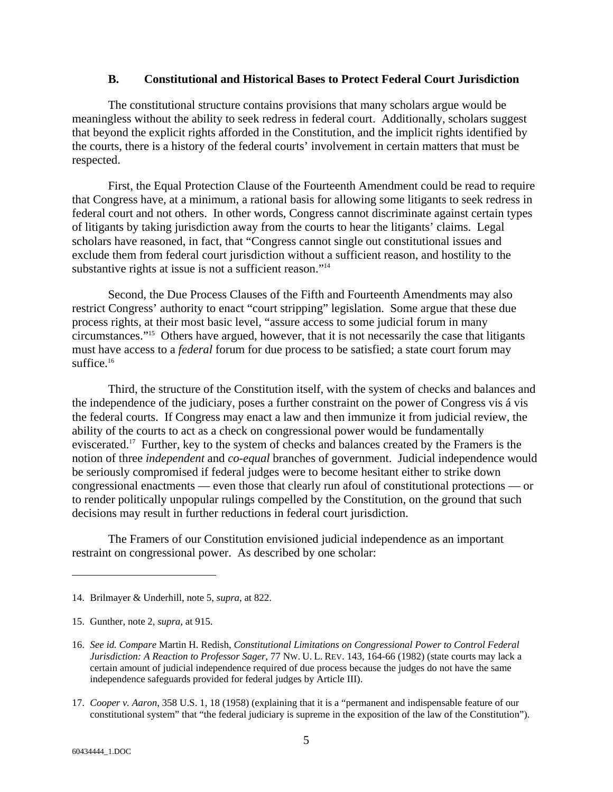## **B. Constitutional and Historical Bases to Protect Federal Court Jurisdiction**

The constitutional structure contains provisions that many scholars argue would be meaningless without the ability to seek redress in federal court. Additionally, scholars suggest that beyond the explicit rights afforded in the Constitution, and the implicit rights identified by the courts, there is a history of the federal courts' involvement in certain matters that must be respected.

First, the Equal Protection Clause of the Fourteenth Amendment could be read to require that Congress have, at a minimum, a rational basis for allowing some litigants to seek redress in federal court and not others. In other words, Congress cannot discriminate against certain types of litigants by taking jurisdiction away from the courts to hear the litigants' claims. Legal scholars have reasoned, in fact, that "Congress cannot single out constitutional issues and exclude them from federal court jurisdiction without a sufficient reason, and hostility to the substantive rights at issue is not a sufficient reason."<sup>14</sup>

Second, the Due Process Clauses of the Fifth and Fourteenth Amendments may also restrict Congress' authority to enact "court stripping" legislation. Some argue that these due process rights, at their most basic level, "assure access to some judicial forum in many circumstances."15 Others have argued, however, that it is not necessarily the case that litigants must have access to a *federal* forum for due process to be satisfied; a state court forum may suffice.<sup>16</sup>

Third, the structure of the Constitution itself, with the system of checks and balances and the independence of the judiciary, poses a further constraint on the power of Congress vis á vis the federal courts. If Congress may enact a law and then immunize it from judicial review, the ability of the courts to act as a check on congressional power would be fundamentally eviscerated.17 Further, key to the system of checks and balances created by the Framers is the notion of three *independent* and *co-equal* branches of government. Judicial independence would be seriously compromised if federal judges were to become hesitant either to strike down congressional enactments — even those that clearly run afoul of constitutional protections — or to render politically unpopular rulings compelled by the Constitution, on the ground that such decisions may result in further reductions in federal court jurisdiction.

The Framers of our Constitution envisioned judicial independence as an important restraint on congressional power. As described by one scholar:

<sup>14.</sup> Brilmayer & Underhill, note 5, *supra*, at 822.

<sup>15.</sup> Gunther, note 2, *supra*, at 915.

<sup>16.</sup> *See id. Compare* Martin H. Redish, *Constitutional Limitations on Congressional Power to Control Federal Jurisdiction: A Reaction to Professor Sager*, 77 NW. U. L. REV. 143, 164-66 (1982) (state courts may lack a certain amount of judicial independence required of due process because the judges do not have the same independence safeguards provided for federal judges by Article III).

<sup>17.</sup> *Cooper v. Aaron*, 358 U.S. 1, 18 (1958) (explaining that it is a "permanent and indispensable feature of our constitutional system" that "the federal judiciary is supreme in the exposition of the law of the Constitution").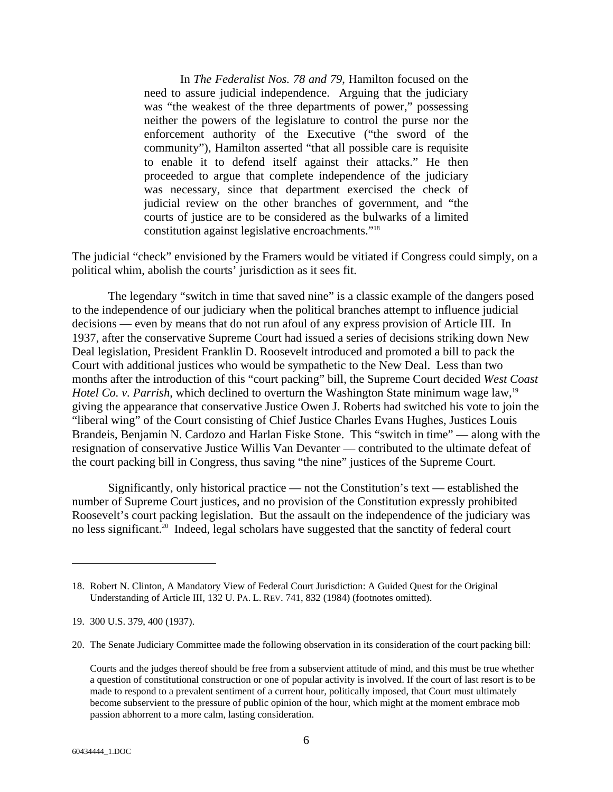In *The Federalist Nos. 78 and 79*, Hamilton focused on the need to assure judicial independence. Arguing that the judiciary was "the weakest of the three departments of power," possessing neither the powers of the legislature to control the purse nor the enforcement authority of the Executive ("the sword of the community"), Hamilton asserted "that all possible care is requisite to enable it to defend itself against their attacks." He then proceeded to argue that complete independence of the judiciary was necessary, since that department exercised the check of judicial review on the other branches of government, and "the courts of justice are to be considered as the bulwarks of a limited constitution against legislative encroachments."18

The judicial "check" envisioned by the Framers would be vitiated if Congress could simply, on a political whim, abolish the courts' jurisdiction as it sees fit.

The legendary "switch in time that saved nine" is a classic example of the dangers posed to the independence of our judiciary when the political branches attempt to influence judicial decisions — even by means that do not run afoul of any express provision of Article III. In 1937, after the conservative Supreme Court had issued a series of decisions striking down New Deal legislation, President Franklin D. Roosevelt introduced and promoted a bill to pack the Court with additional justices who would be sympathetic to the New Deal. Less than two months after the introduction of this "court packing" bill, the Supreme Court decided *West Coast Hotel Co. v. Parrish*, which declined to overturn the Washington State minimum wage law,<sup>19</sup> giving the appearance that conservative Justice Owen J. Roberts had switched his vote to join the "liberal wing" of the Court consisting of Chief Justice Charles Evans Hughes, Justices Louis Brandeis, Benjamin N. Cardozo and Harlan Fiske Stone. This "switch in time" — along with the resignation of conservative Justice Willis Van Devanter — contributed to the ultimate defeat of the court packing bill in Congress, thus saving "the nine" justices of the Supreme Court.

Significantly, only historical practice — not the Constitution's text — established the number of Supreme Court justices, and no provision of the Constitution expressly prohibited Roosevelt's court packing legislation. But the assault on the independence of the judiciary was no less significant.<sup>20</sup> Indeed, legal scholars have suggested that the sanctity of federal court

20. The Senate Judiciary Committee made the following observation in its consideration of the court packing bill:

l

<sup>18.</sup> Robert N. Clinton, A Mandatory View of Federal Court Jurisdiction: A Guided Quest for the Original Understanding of Article III, 132 U. PA. L. REV. 741, 832 (1984) (footnotes omitted).

<sup>19. 300</sup> U.S. 379, 400 (1937).

Courts and the judges thereof should be free from a subservient attitude of mind, and this must be true whether a question of constitutional construction or one of popular activity is involved. If the court of last resort is to be made to respond to a prevalent sentiment of a current hour, politically imposed, that Court must ultimately become subservient to the pressure of public opinion of the hour, which might at the moment embrace mob passion abhorrent to a more calm, lasting consideration.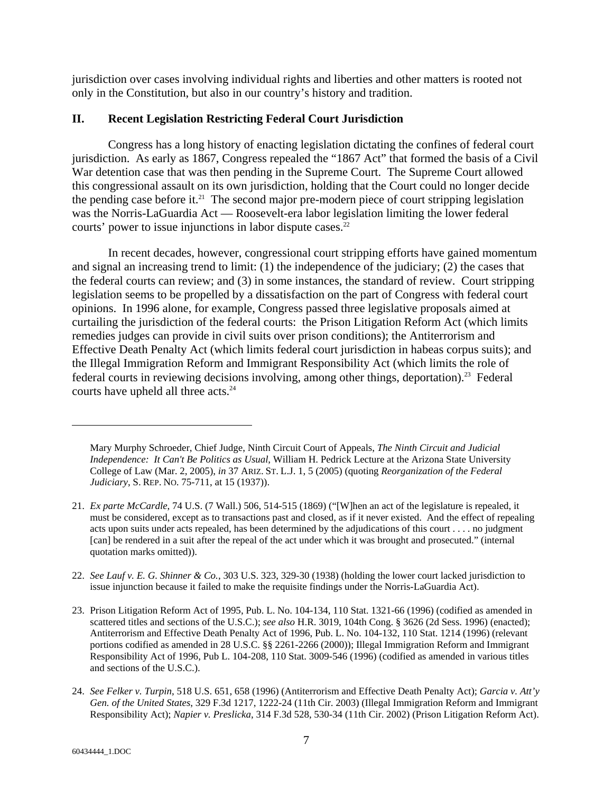jurisdiction over cases involving individual rights and liberties and other matters is rooted not only in the Constitution, but also in our country's history and tradition.

# **II. Recent Legislation Restricting Federal Court Jurisdiction**

Congress has a long history of enacting legislation dictating the confines of federal court jurisdiction. As early as 1867, Congress repealed the "1867 Act" that formed the basis of a Civil War detention case that was then pending in the Supreme Court. The Supreme Court allowed this congressional assault on its own jurisdiction, holding that the Court could no longer decide the pending case before it.<sup>21</sup> The second major pre-modern piece of court stripping legislation was the Norris-LaGuardia Act — Roosevelt-era labor legislation limiting the lower federal courts' power to issue injunctions in labor dispute cases.<sup>22</sup>

In recent decades, however, congressional court stripping efforts have gained momentum and signal an increasing trend to limit: (1) the independence of the judiciary; (2) the cases that the federal courts can review; and (3) in some instances, the standard of review. Court stripping legislation seems to be propelled by a dissatisfaction on the part of Congress with federal court opinions. In 1996 alone, for example, Congress passed three legislative proposals aimed at curtailing the jurisdiction of the federal courts: the Prison Litigation Reform Act (which limits remedies judges can provide in civil suits over prison conditions); the Antiterrorism and Effective Death Penalty Act (which limits federal court jurisdiction in habeas corpus suits); and the Illegal Immigration Reform and Immigrant Responsibility Act (which limits the role of federal courts in reviewing decisions involving, among other things, deportation).<sup>23</sup> Federal courts have upheld all three acts.<sup>24</sup>

22. *See Lauf v. E. G. Shinner & Co.*, 303 U.S. 323, 329-30 (1938) (holding the lower court lacked jurisdiction to issue injunction because it failed to make the requisite findings under the Norris-LaGuardia Act).

Mary Murphy Schroeder, Chief Judge, Ninth Circuit Court of Appeals, *The Ninth Circuit and Judicial Independence: It Can't Be Politics as Usual*, William H. Pedrick Lecture at the Arizona State University College of Law (Mar. 2, 2005), *in* 37 ARIZ. ST. L.J. 1, 5 (2005) (quoting *Reorganization of the Federal Judiciary*, S. REP. NO. 75-711, at 15 (1937)).

<sup>21.</sup> *Ex parte McCardle*, 74 U.S. (7 Wall.) 506, 514-515 (1869) ("[W]hen an act of the legislature is repealed, it must be considered, except as to transactions past and closed, as if it never existed. And the effect of repealing acts upon suits under acts repealed, has been determined by the adjudications of this court . . . . no judgment [can] be rendered in a suit after the repeal of the act under which it was brought and prosecuted." (internal quotation marks omitted)).

<sup>23.</sup> Prison Litigation Reform Act of 1995, Pub. L. No. 104-134, 110 Stat. 1321-66 (1996) (codified as amended in scattered titles and sections of the U.S.C.); *see also* H.R. 3019, 104th Cong. § 3626 (2d Sess. 1996) (enacted); Antiterrorism and Effective Death Penalty Act of 1996, Pub. L. No. 104-132, 110 Stat. 1214 (1996) (relevant portions codified as amended in 28 U.S.C. §§ 2261-2266 (2000)); Illegal Immigration Reform and Immigrant Responsibility Act of 1996, Pub L. 104-208, 110 Stat. 3009-546 (1996) (codified as amended in various titles and sections of the U.S.C.).

<sup>24.</sup> *See Felker v. Turpin*, 518 U.S. 651, 658 (1996) (Antiterrorism and Effective Death Penalty Act); *Garcia v. Att'y Gen. of the United States*, 329 F.3d 1217, 1222-24 (11th Cir. 2003) (Illegal Immigration Reform and Immigrant Responsibility Act); *Napier v. Preslicka*, 314 F.3d 528, 530-34 (11th Cir. 2002) (Prison Litigation Reform Act).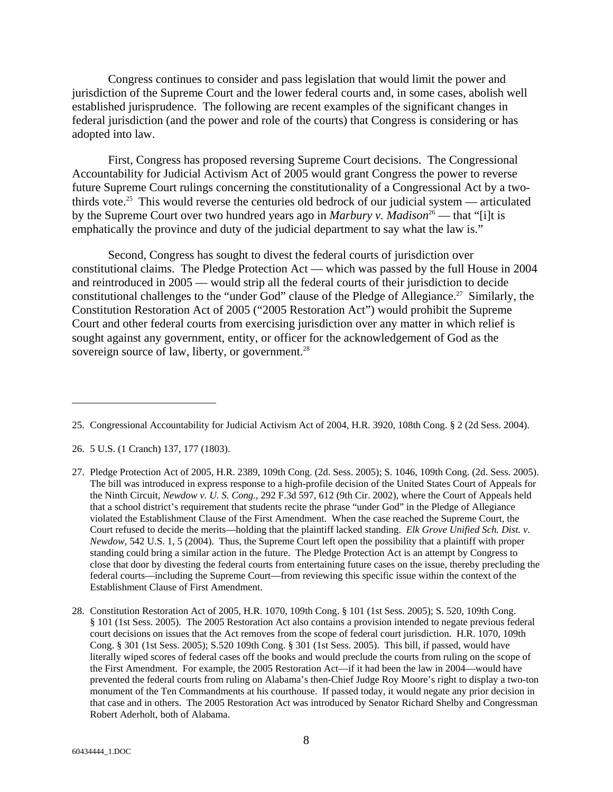Congress continues to consider and pass legislation that would limit the power and jurisdiction of the Supreme Court and the lower federal courts and, in some cases, abolish well established jurisprudence. The following are recent examples of the significant changes in federal jurisdiction (and the power and role of the courts) that Congress is considering or has adopted into law.

First, Congress has proposed reversing Supreme Court decisions.The Congressional Accountability for Judicial Activism Act of 2005 would grant Congress the power to reverse future Supreme Court rulings concerning the constitutionality of a Congressional Act by a twothirds vote.<sup>25</sup> This would reverse the centuries old bedrock of our judicial system — articulated by the Supreme Court over two hundred years ago in *Marbury v. Madison*<sup>26</sup> — that "[i]t is emphatically the province and duty of the judicial department to say what the law is."

Second, Congress has sought to divest the federal courts of jurisdiction over constitutional claims.The Pledge Protection Act — which was passed by the full House in 2004 and reintroduced in 2005 — would strip all the federal courts of their jurisdiction to decide constitutional challenges to the "under God" clause of the Pledge of Allegiance.<sup>27</sup> Similarly, the Constitution Restoration Act of 2005 ("2005 Restoration Act") would prohibit the Supreme Court and other federal courts from exercising jurisdiction over any matter in which relief is sought against any government, entity, or officer for the acknowledgement of God as the sovereign source of law, liberty, or government.<sup>28</sup>

<sup>25.</sup> Congressional Accountability for Judicial Activism Act of 2004, H.R. 3920, 108th Cong. § 2 (2d Sess. 2004).

<sup>26. 5</sup> U.S. (1 Cranch) 137, 177 (1803).

<sup>27.</sup> Pledge Protection Act of 2005, H.R. 2389, 109th Cong. (2d. Sess. 2005); S. 1046, 109th Cong. (2d. Sess. 2005). The bill was introduced in express response to a high-profile decision of the United States Court of Appeals for the Ninth Circuit, *Newdow v. U. S. Cong.*, 292 F.3d 597, 612 (9th Cir. 2002), where the Court of Appeals held that a school district's requirement that students recite the phrase "under God" in the Pledge of Allegiance violated the Establishment Clause of the First Amendment. When the case reached the Supreme Court, the Court refused to decide the merits—holding that the plaintiff lacked standing. *Elk Grove Unified Sch. Dist. v. Newdow*, 542 U.S. 1, 5 (2004). Thus, the Supreme Court left open the possibility that a plaintiff with proper standing could bring a similar action in the future. The Pledge Protection Act is an attempt by Congress to close that door by divesting the federal courts from entertaining future cases on the issue, thereby precluding the federal courts—including the Supreme Court—from reviewing this specific issue within the context of the Establishment Clause of First Amendment.

<sup>28.</sup> Constitution Restoration Act of 2005, H.R. 1070, 109th Cong. § 101 (1st Sess. 2005); S. 520, 109th Cong. § 101 (1st Sess. 2005). The 2005 Restoration Act also contains a provision intended to negate previous federal court decisions on issues that the Act removes from the scope of federal court jurisdiction. H.R. 1070, 109th Cong. § 301 (1st Sess. 2005); S.520 109th Cong. § 301 (1st Sess. 2005). This bill, if passed, would have literally wiped scores of federal cases off the books and would preclude the courts from ruling on the scope of the First Amendment. For example, the 2005 Restoration Act—if it had been the law in 2004—would have prevented the federal courts from ruling on Alabama's then-Chief Judge Roy Moore's right to display a two-ton monument of the Ten Commandments at his courthouse. If passed today, it would negate any prior decision in that case and in others. The 2005 Restoration Act was introduced by Senator Richard Shelby and Congressman Robert Aderholt, both of Alabama.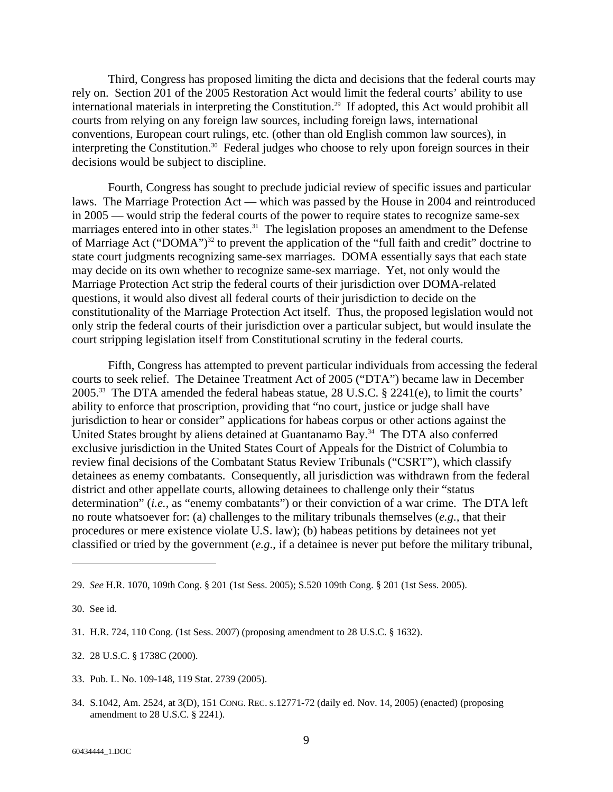Third, Congress has proposed limiting the dicta and decisions that the federal courts may rely on. Section 201 of the 2005 Restoration Act would limit the federal courts' ability to use international materials in interpreting the Constitution.29 If adopted, this Act would prohibit all courts from relying on any foreign law sources, including foreign laws, international conventions, European court rulings, etc. (other than old English common law sources), in interpreting the Constitution.<sup>30</sup> Federal judges who choose to rely upon foreign sources in their decisions would be subject to discipline.

Fourth, Congress has sought to preclude judicial review of specific issues and particular laws. The Marriage Protection Act — which was passed by the House in 2004 and reintroduced in 2005 — would strip the federal courts of the power to require states to recognize same-sex marriages entered into in other states.<sup>31</sup> The legislation proposes an amendment to the Defense of Marriage Act ("DOMA")<sup>32</sup> to prevent the application of the "full faith and credit" doctrine to state court judgments recognizing same-sex marriages. DOMA essentially says that each state may decide on its own whether to recognize same-sex marriage. Yet, not only would the Marriage Protection Act strip the federal courts of their jurisdiction over DOMA-related questions, it would also divest all federal courts of their jurisdiction to decide on the constitutionality of the Marriage Protection Act itself. Thus, the proposed legislation would not only strip the federal courts of their jurisdiction over a particular subject, but would insulate the court stripping legislation itself from Constitutional scrutiny in the federal courts.

Fifth, Congress has attempted to prevent particular individuals from accessing the federal courts to seek relief.The Detainee Treatment Act of 2005 ("DTA") became law in December 2005.33 The DTA amended the federal habeas statue, 28 U.S.C. § 2241(e), to limit the courts' ability to enforce that proscription, providing that "no court, justice or judge shall have jurisdiction to hear or consider" applications for habeas corpus or other actions against the United States brought by aliens detained at Guantanamo Bay. $34$  The DTA also conferred exclusive jurisdiction in the United States Court of Appeals for the District of Columbia to review final decisions of the Combatant Status Review Tribunals ("CSRT"), which classify detainees as enemy combatants. Consequently, all jurisdiction was withdrawn from the federal district and other appellate courts, allowing detainees to challenge only their "status determination" (*i.e.*, as "enemy combatants") or their conviction of a war crime. The DTA left no route whatsoever for: (a) challenges to the military tribunals themselves (*e.g.,* that their procedures or mere existence violate U.S. law); (b) habeas petitions by detainees not yet classified or tried by the government (*e.g*., if a detainee is never put before the military tribunal,

- 33. Pub. L. No. 109-148, 119 Stat. 2739 (2005).
- 34. S.1042, Am. 2524, at 3(D), 151 CONG. REC. S.12771-72 (daily ed. Nov. 14, 2005) (enacted) (proposing amendment to 28 U.S.C. § 2241).

<sup>29.</sup> *See* H.R. 1070, 109th Cong. § 201 (1st Sess. 2005); S.520 109th Cong. § 201 (1st Sess. 2005).

<sup>30.</sup> See id.

<sup>31.</sup> H.R. 724, 110 Cong. (1st Sess. 2007) (proposing amendment to 28 U.S.C. § 1632).

<sup>32. 28</sup> U.S.C. § 1738C (2000).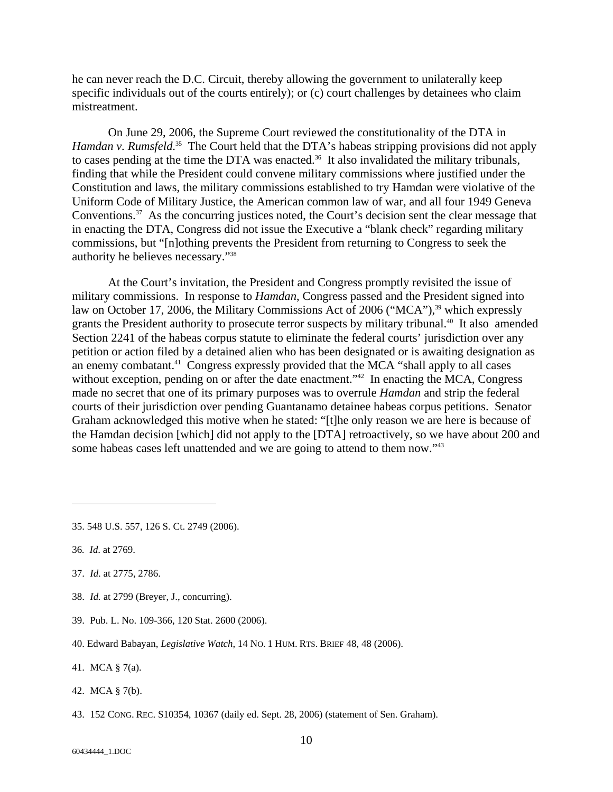he can never reach the D.C. Circuit, thereby allowing the government to unilaterally keep specific individuals out of the courts entirely); or (c) court challenges by detainees who claim mistreatment.

On June 29, 2006, the Supreme Court reviewed the constitutionality of the DTA in Hamdan v. Rumsfeld.<sup>35</sup> The Court held that the DTA's habeas stripping provisions did not apply to cases pending at the time the DTA was enacted.<sup>36</sup> It also invalidated the military tribunals, finding that while the President could convene military commissions where justified under the Constitution and laws, the military commissions established to try Hamdan were violative of the Uniform Code of Military Justice, the American common law of war, and all four 1949 Geneva Conventions.<sup>37</sup> As the concurring justices noted, the Court's decision sent the clear message that in enacting the DTA, Congress did not issue the Executive a "blank check" regarding military commissions, but "[n]othing prevents the President from returning to Congress to seek the authority he believes necessary."38

At the Court's invitation, the President and Congress promptly revisited the issue of military commissions. In response to *Hamdan*, Congress passed and the President signed into law on October 17, 2006, the Military Commissions Act of 2006 ("MCA"),<sup>39</sup> which expressly grants the President authority to prosecute terror suspects by military tribunal.<sup>40</sup> It also amended Section 2241 of the habeas corpus statute to eliminate the federal courts' jurisdiction over any petition or action filed by a detained alien who has been designated or is awaiting designation as an enemy combatant.<sup>41</sup> Congress expressly provided that the MCA "shall apply to all cases" without exception, pending on or after the date enactment."<sup>42</sup> In enacting the MCA, Congress made no secret that one of its primary purposes was to overrule *Hamdan* and strip the federal courts of their jurisdiction over pending Guantanamo detainee habeas corpus petitions. Senator Graham acknowledged this motive when he stated: "[t]he only reason we are here is because of the Hamdan decision [which] did not apply to the [DTA] retroactively, so we have about 200 and some habeas cases left unattended and we are going to attend to them now."<sup>43</sup>

l

37. *Id*. at 2775, 2786.

41. MCA § 7(a).

<sup>35. 548</sup> U.S. 557, 126 S. Ct. 2749 (2006).

<sup>36</sup>*. Id*. at 2769.

<sup>38.</sup> *Id.* at 2799 (Breyer, J., concurring).

<sup>39.</sup> Pub. L. No. 109-366, 120 Stat. 2600 (2006).

<sup>40.</sup> Edward Babayan, *Legislative Watch*, 14 NO. 1 HUM. RTS. BRIEF 48, 48 (2006).

<sup>42.</sup> MCA § 7(b).

<sup>43. 152</sup> CONG. REC. S10354, 10367 (daily ed. Sept. 28, 2006) (statement of Sen. Graham).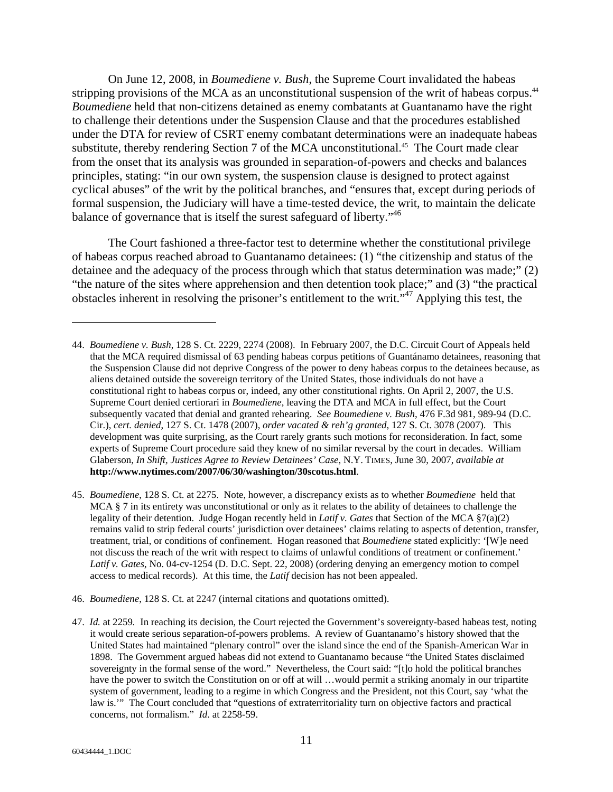On June 12, 2008, in *Boumediene v. Bush*, the Supreme Court invalidated the habeas stripping provisions of the MCA as an unconstitutional suspension of the writ of habeas corpus.<sup>44</sup> *Boumediene* held that non-citizens detained as enemy combatants at Guantanamo have the right to challenge their detentions under the Suspension Clause and that the procedures established under the DTA for review of CSRT enemy combatant determinations were an inadequate habeas substitute, thereby rendering Section 7 of the MCA unconstitutional.<sup>45</sup> The Court made clear from the onset that its analysis was grounded in separation-of-powers and checks and balances principles, stating: "in our own system, the suspension clause is designed to protect against cyclical abuses" of the writ by the political branches, and "ensures that, except during periods of formal suspension, the Judiciary will have a time-tested device, the writ, to maintain the delicate balance of governance that is itself the surest safeguard of liberty."46

The Court fashioned a three-factor test to determine whether the constitutional privilege of habeas corpus reached abroad to Guantanamo detainees: (1) "the citizenship and status of the detainee and the adequacy of the process through which that status determination was made;" (2) "the nature of the sites where apprehension and then detention took place;" and (3) "the practical obstacles inherent in resolving the prisoner's entitlement to the writ.<sup>5,47</sup> Applying this test, the

- 45. *Boumediene*, 128 S. Ct. at 2275. Note, however, a discrepancy exists as to whether *Boumediene* held that MCA § 7 in its entirety was unconstitutional or only as it relates to the ability of detainees to challenge the legality of their detention. Judge Hogan recently held in *Latif v. Gates* that Section of the MCA §7(a)(2) remains valid to strip federal courts' jurisdiction over detainees' claims relating to aspects of detention, transfer, treatment, trial, or conditions of confinement. Hogan reasoned that *Boumediene* stated explicitly: '[W]e need not discuss the reach of the writ with respect to claims of unlawful conditions of treatment or confinement.' *Latif v. Gates*, No. 04-cv-1254 (D. D.C. Sept. 22, 2008) (ordering denying an emergency motion to compel access to medical records). At this time, the *Latif* decision has not been appealed.
- 46. *Boumediene*, 128 S. Ct. at 2247 (internal citations and quotations omitted).

<sup>44.</sup> *Boumediene v. Bush*, 128 S. Ct. 2229, 2274 (2008). In February 2007, the D.C. Circuit Court of Appeals held that the MCA required dismissal of 63 pending habeas corpus petitions of Guantánamo detainees, reasoning that the Suspension Clause did not deprive Congress of the power to deny habeas corpus to the detainees because, as aliens detained outside the sovereign territory of the United States, those individuals do not have a constitutional right to habeas corpus or, indeed, any other constitutional rights. On April 2, 2007, the U.S. Supreme Court denied certiorari in *Boumediene*, leaving the DTA and MCA in full effect, but the Court subsequently vacated that denial and granted rehearing. *See Boumediene v. Bush*, 476 F.3d 981, 989-94 (D.C. Cir.), *cert. denied*, 127 S. Ct. 1478 (2007), *order vacated & reh'g granted*, 127 S. Ct. 3078 (2007). This development was quite surprising, as the Court rarely grants such motions for reconsideration. In fact, some experts of Supreme Court procedure said they knew of no similar reversal by the court in decades. William Glaberson, *In Shift, Justices Agree to Review Detainees' Case*, N.Y. TIMES, June 30, 2007, *available at* **http://www.nytimes.com/2007/06/30/washington/30scotus.html**.

<sup>47.</sup> *Id.* at 2259*.* In reaching its decision, the Court rejected the Government's sovereignty-based habeas test, noting it would create serious separation-of-powers problems. A review of Guantanamo's history showed that the United States had maintained "plenary control" over the island since the end of the Spanish-American War in 1898. The Government argued habeas did not extend to Guantanamo because "the United States disclaimed sovereignty in the formal sense of the word." Nevertheless, the Court said: "[t]o hold the political branches have the power to switch the Constitution on or off at will …would permit a striking anomaly in our tripartite system of government, leading to a regime in which Congress and the President, not this Court, say 'what the law is.'" The Court concluded that "questions of extraterritoriality turn on objective factors and practical concerns, not formalism." *Id*. at 2258-59.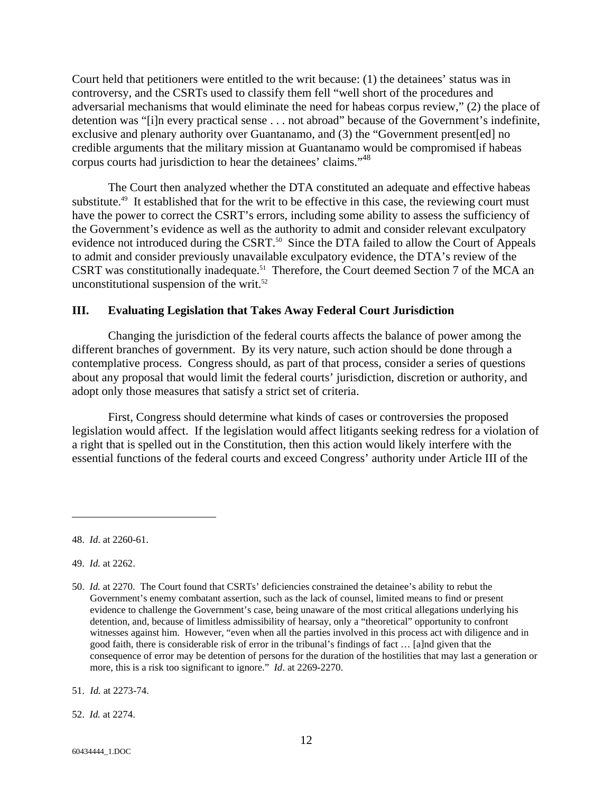Court held that petitioners were entitled to the writ because: (1) the detainees' status was in controversy, and the CSRTs used to classify them fell "well short of the procedures and adversarial mechanisms that would eliminate the need for habeas corpus review," (2) the place of detention was "[i]n every practical sense . . . not abroad" because of the Government's indefinite, exclusive and plenary authority over Guantanamo, and (3) the "Government present[ed] no credible arguments that the military mission at Guantanamo would be compromised if habeas corpus courts had jurisdiction to hear the detainees' claims."48

The Court then analyzed whether the DTA constituted an adequate and effective habeas substitute.<sup>49</sup> It established that for the writ to be effective in this case, the reviewing court must have the power to correct the CSRT's errors, including some ability to assess the sufficiency of the Government's evidence as well as the authority to admit and consider relevant exculpatory evidence not introduced during the CSRT.<sup>50</sup> Since the DTA failed to allow the Court of Appeals to admit and consider previously unavailable exculpatory evidence, the DTA's review of the CSRT was constitutionally inadequate.<sup>51</sup> Therefore, the Court deemed Section 7 of the MCA an unconstitutional suspension of the writ. $52$ 

### **III. Evaluating Legislation that Takes Away Federal Court Jurisdiction**

Changing the jurisdiction of the federal courts affects the balance of power among the different branches of government. By its very nature, such action should be done through a contemplative process. Congress should, as part of that process, consider a series of questions about any proposal that would limit the federal courts' jurisdiction, discretion or authority, and adopt only those measures that satisfy a strict set of criteria.

First, Congress should determine what kinds of cases or controversies the proposed legislation would affect. If the legislation would affect litigants seeking redress for a violation of a right that is spelled out in the Constitution, then this action would likely interfere with the essential functions of the federal courts and exceed Congress' authority under Article III of the

<sup>48.</sup> *Id*. at 2260-61.

<sup>49.</sup> *Id.* at 2262.

<sup>50.</sup> *Id.* at 2270.The Court found that CSRTs' deficiencies constrained the detainee's ability to rebut the Government's enemy combatant assertion, such as the lack of counsel, limited means to find or present evidence to challenge the Government's case, being unaware of the most critical allegations underlying his detention, and, because of limitless admissibility of hearsay, only a "theoretical" opportunity to confront witnesses against him. However, "even when all the parties involved in this process act with diligence and in good faith, there is considerable risk of error in the tribunal's findings of fact … [a]nd given that the consequence of error may be detention of persons for the duration of the hostilities that may last a generation or more, this is a risk too significant to ignore." *Id*. at 2269-2270.

<sup>51.</sup> *Id.* at 2273-74.

<sup>52.</sup> *Id.* at 2274.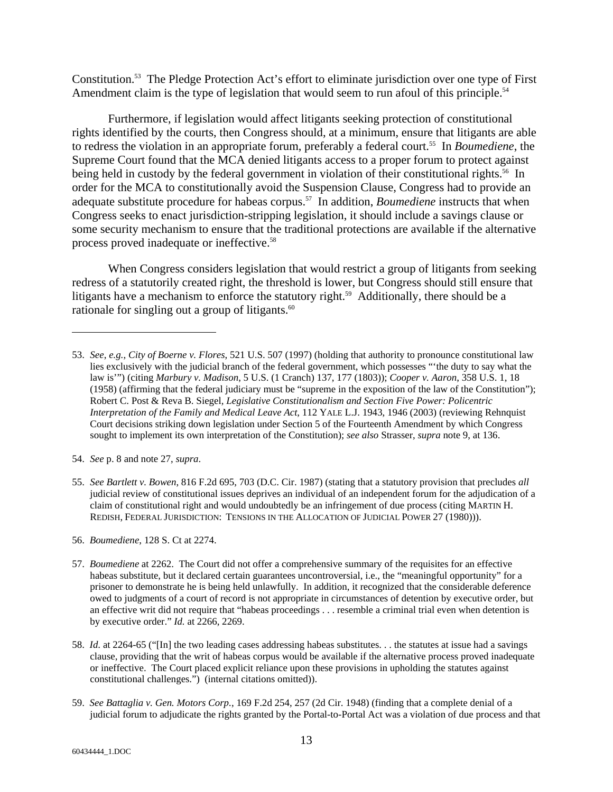Constitution.53 The Pledge Protection Act's effort to eliminate jurisdiction over one type of First Amendment claim is the type of legislation that would seem to run afoul of this principle.<sup>54</sup>

Furthermore, if legislation would affect litigants seeking protection of constitutional rights identified by the courts, then Congress should, at a minimum, ensure that litigants are able to redress the violation in an appropriate forum, preferably a federal court.55 In *Boumediene*, the Supreme Court found that the MCA denied litigants access to a proper forum to protect against being held in custody by the federal government in violation of their constitutional rights.<sup>56</sup> In order for the MCA to constitutionally avoid the Suspension Clause, Congress had to provide an adequate substitute procedure for habeas corpus.57 In addition, *Boumediene* instructs that when Congress seeks to enact jurisdiction-stripping legislation, it should include a savings clause or some security mechanism to ensure that the traditional protections are available if the alternative process proved inadequate or ineffective.<sup>58</sup>

When Congress considers legislation that would restrict a group of litigants from seeking redress of a statutorily created right, the threshold is lower, but Congress should still ensure that litigants have a mechanism to enforce the statutory right.<sup>59</sup> Additionally, there should be a rationale for singling out a group of litigants.<sup>60</sup>

<sup>53.</sup> *See*, *e.g.*, *City of Boerne v. Flores*, 521 U.S. 507 (1997) (holding that authority to pronounce constitutional law lies exclusively with the judicial branch of the federal government, which possesses "'the duty to say what the law is'") (citing *Marbury v. Madison*, 5 U.S. (1 Cranch) 137, 177 (1803)); *Cooper v. Aaron*, 358 U.S. 1, 18 (1958) (affirming that the federal judiciary must be "supreme in the exposition of the law of the Constitution"); Robert C. Post & Reva B. Siegel*, Legislative Constitutionalism and Section Five Power: Policentric Interpretation of the Family and Medical Leave Act*, 112 YALE L.J. 1943, 1946 (2003) (reviewing Rehnquist Court decisions striking down legislation under Section 5 of the Fourteenth Amendment by which Congress sought to implement its own interpretation of the Constitution); *see also* Strasser, *supra* note 9, at 136.

<sup>54.</sup> *See* p. 8 and note 27, *supra*.

<sup>55.</sup> *See Bartlett v. Bowen*, 816 F.2d 695, 703 (D.C. Cir. 1987) (stating that a statutory provision that precludes *all* judicial review of constitutional issues deprives an individual of an independent forum for the adjudication of a claim of constitutional right and would undoubtedly be an infringement of due process (citing MARTIN H. REDISH, FEDERAL JURISDICTION: TENSIONS IN THE ALLOCATION OF JUDICIAL POWER 27 (1980))).

<sup>56.</sup> *Boumediene*, 128 S. Ct at 2274.

<sup>57.</sup> *Boumediene* at 2262. The Court did not offer a comprehensive summary of the requisites for an effective habeas substitute, but it declared certain guarantees uncontroversial, i.e., the "meaningful opportunity" for a prisoner to demonstrate he is being held unlawfully. In addition, it recognized that the considerable deference owed to judgments of a court of record is not appropriate in circumstances of detention by executive order, but an effective writ did not require that "habeas proceedings . . . resemble a criminal trial even when detention is by executive order." *Id.* at 2266, 2269.

<sup>58.</sup> *Id*. at 2264-65 ("[In] the two leading cases addressing habeas substitutes. . . the statutes at issue had a savings clause, providing that the writ of habeas corpus would be available if the alternative process proved inadequate or ineffective. The Court placed explicit reliance upon these provisions in upholding the statutes against constitutional challenges.") (internal citations omitted)).

<sup>59.</sup> *See Battaglia v. Gen. Motors Corp.*, 169 F.2d 254, 257 (2d Cir. 1948) (finding that a complete denial of a judicial forum to adjudicate the rights granted by the Portal-to-Portal Act was a violation of due process and that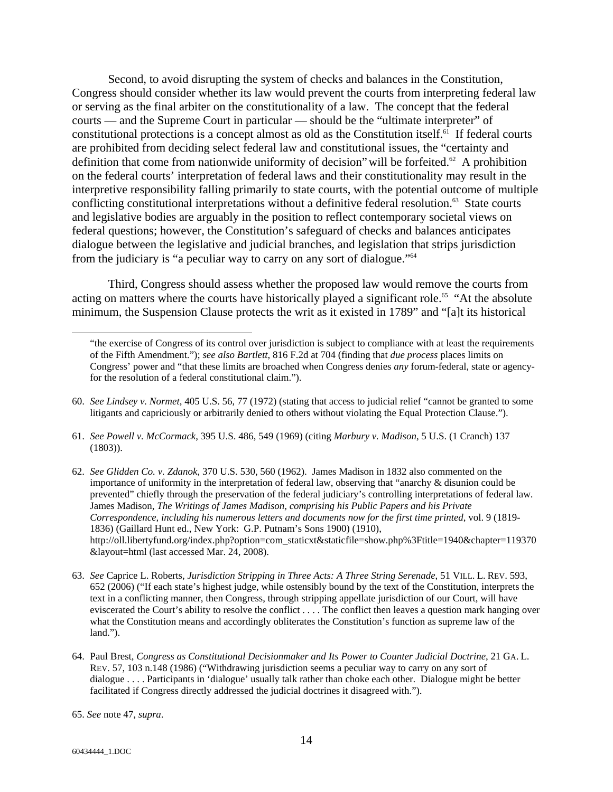Second, to avoid disrupting the system of checks and balances in the Constitution, Congress should consider whether its law would prevent the courts from interpreting federal law or serving as the final arbiter on the constitutionality of a law. The concept that the federal courts — and the Supreme Court in particular — should be the "ultimate interpreter" of constitutional protections is a concept almost as old as the Constitution itself. $61$  If federal courts are prohibited from deciding select federal law and constitutional issues, the "certainty and definition that come from nationwide uniformity of decision" will be forfeited.<sup>62</sup> A prohibition on the federal courts' interpretation of federal laws and their constitutionality may result in the interpretive responsibility falling primarily to state courts, with the potential outcome of multiple conflicting constitutional interpretations without a definitive federal resolution.<sup>63</sup> State courts and legislative bodies are arguably in the position to reflect contemporary societal views on federal questions; however, the Constitution's safeguard of checks and balances anticipates dialogue between the legislative and judicial branches, and legislation that strips jurisdiction from the judiciary is "a peculiar way to carry on any sort of dialogue."64

Third, Congress should assess whether the proposed law would remove the courts from acting on matters where the courts have historically played a significant role.<sup>65</sup> "At the absolute minimum, the Suspension Clause protects the writ as it existed in 1789" and "[a]t its historical

- 60. *See Lindsey v. Normet*, 405 U.S. 56, 77 (1972) (stating that access to judicial relief "cannot be granted to some litigants and capriciously or arbitrarily denied to others without violating the Equal Protection Clause.").
- 61. *See Powell v. McCormack*, 395 U.S. 486, 549 (1969) (citing *Marbury v. Madison*, 5 U.S. (1 Cranch) 137 (1803)).
- 62. *See Glidden Co. v. Zdanok*, 370 U.S. 530, 560 (1962). James Madison in 1832 also commented on the importance of uniformity in the interpretation of federal law, observing that "anarchy & disunion could be prevented" chiefly through the preservation of the federal judiciary's controlling interpretations of federal law. James Madison, *The Writings of James Madison, comprising his Public Papers and his Private Correspondence, including his numerous letters and documents now for the first time printed*, vol. 9 (1819- 1836) (Gaillard Hunt ed., New York: G.P. Putnam's Sons 1900) (1910), http://oll.libertyfund.org/index.php?option=com\_staticxt&staticfile=show.php%3Ftitle=1940&chapter=119370 &layout=html (last accessed Mar. 24, 2008).
- 63. *See* Caprice L. Roberts, *Jurisdiction Stripping in Three Acts: A Three String Serenade*, 51 VILL. L. REV. 593, 652 (2006) ("If each state's highest judge, while ostensibly bound by the text of the Constitution, interprets the text in a conflicting manner, then Congress, through stripping appellate jurisdiction of our Court, will have eviscerated the Court's ability to resolve the conflict . . . . The conflict then leaves a question mark hanging over what the Constitution means and accordingly obliterates the Constitution's function as supreme law of the land.").
- 64. Paul Brest, *Congress as Constitutional Decisionmaker and Its Power to Counter Judicial Doctrine*, 21 GA. L. REV. 57, 103 n.148 (1986) ("Withdrawing jurisdiction seems a peculiar way to carry on any sort of dialogue . . . . Participants in 'dialogue' usually talk rather than choke each other. Dialogue might be better facilitated if Congress directly addressed the judicial doctrines it disagreed with.").

<sup>&</sup>quot;the exercise of Congress of its control over jurisdiction is subject to compliance with at least the requirements of the Fifth Amendment."); *see also Bartlett*, 816 F.2d at 704 (finding that *due process* places limits on Congress' power and "that these limits are broached when Congress denies *any* forum-federal, state or agencyfor the resolution of a federal constitutional claim.").

<sup>65.</sup> *See* note 47, *supra*.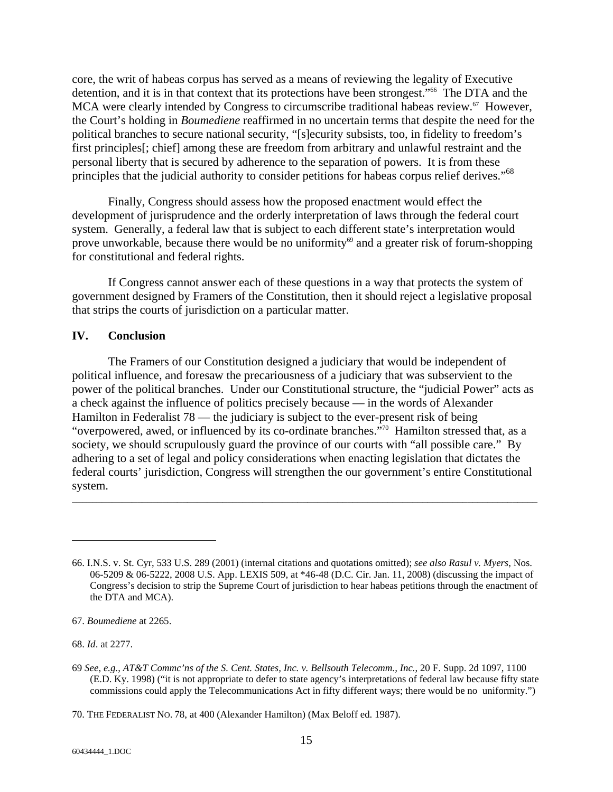core, the writ of habeas corpus has served as a means of reviewing the legality of Executive detention, and it is in that context that its protections have been strongest."<sup>66</sup> The DTA and the MCA were clearly intended by Congress to circumscribe traditional habeas review.<sup>67</sup> However, the Court's holding in *Boumediene* reaffirmed in no uncertain terms that despite the need for the political branches to secure national security, "[s]ecurity subsists, too, in fidelity to freedom's first principles[; chief] among these are freedom from arbitrary and unlawful restraint and the personal liberty that is secured by adherence to the separation of powers. It is from these principles that the judicial authority to consider petitions for habeas corpus relief derives."<sup>68</sup>

Finally, Congress should assess how the proposed enactment would effect the development of jurisprudence and the orderly interpretation of laws through the federal court system. Generally, a federal law that is subject to each different state's interpretation would prove unworkable, because there would be no uniformity $69$  and a greater risk of forum-shopping for constitutional and federal rights.

If Congress cannot answer each of these questions in a way that protects the system of government designed by Framers of the Constitution, then it should reject a legislative proposal that strips the courts of jurisdiction on a particular matter.

#### **IV. Conclusion**

The Framers of our Constitution designed a judiciary that would be independent of political influence, and foresaw the precariousness of a judiciary that was subservient to the power of the political branches. Under our Constitutional structure, the "judicial Power" acts as a check against the influence of politics precisely because — in the words of Alexander Hamilton in Federalist 78 — the judiciary is subject to the ever-present risk of being "overpowered, awed, or influenced by its co-ordinate branches."70 Hamilton stressed that, as a society, we should scrupulously guard the province of our courts with "all possible care." By adhering to a set of legal and policy considerations when enacting legislation that dictates the federal courts' jurisdiction, Congress will strengthen the our government's entire Constitutional system.

 $\overline{a}$  , and the contribution of the contribution of the contribution of the contribution of the contribution of the contribution of the contribution of the contribution of the contribution of the contribution of the co

68. *Id*. at 2277.

<sup>66.</sup> I.N.S. v. St. Cyr, 533 U.S. 289 (2001) (internal citations and quotations omitted); *see also Rasul v. Myers*, Nos. 06-5209 & 06-5222, 2008 U.S. App. LEXIS 509, at \*46-48 (D.C. Cir. Jan. 11, 2008) (discussing the impact of Congress's decision to strip the Supreme Court of jurisdiction to hear habeas petitions through the enactment of the DTA and MCA).

<sup>67.</sup> *Boumediene* at 2265.

<sup>69</sup> *See*, *e.g.*, *AT&T Commc'ns of the S. Cent. States, Inc. v. Bellsouth Telecomm., Inc.*, 20 F. Supp. 2d 1097, 1100 (E.D. Ky. 1998) ("it is not appropriate to defer to state agency's interpretations of federal law because fifty state commissions could apply the Telecommunications Act in fifty different ways; there would be no uniformity.")

<sup>70.</sup> THE FEDERALIST NO. 78, at 400 (Alexander Hamilton) (Max Beloff ed. 1987).